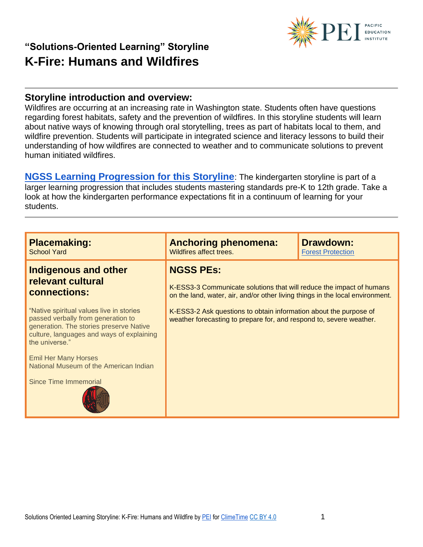

#### **Storyline introduction and overview:**

Wildfires are occurring at an increasing rate in Washington state. Students often have questions regarding forest habitats, safety and the prevention of wildfires. In this storyline students will learn about native ways of knowing through oral storytelling, trees as part of habitats local to them, and wildfire prevention. Students will participate in integrated science and literacy lessons to build their understanding of how wildfires are connected to weather and to communicate solutions to prevent human initiated wildfires.

**[NGSS Learning Progression for this Storyline](https://pacificeductioninstitute.sharepoint.com/:x:/s/Program/EWV7knBQkgtOsiWnuNOPC-IBdShSwrtE43e4hUTSKn_K2g?e=LkFdwy)**: The kindergarten storyline is part of a larger learning progression that includes students mastering standards pre-K to 12th grade. Take a look at how the kindergarten performance expectations fit in a continuum of learning for your students.

| <b>Placemaking:</b>                                                                                                                                                                                                                                                                                                                                            | <b>Anchoring phenomena:</b>                                                                                                                                                                                                                                                                                           | <b>Drawdown:</b>         |
|----------------------------------------------------------------------------------------------------------------------------------------------------------------------------------------------------------------------------------------------------------------------------------------------------------------------------------------------------------------|-----------------------------------------------------------------------------------------------------------------------------------------------------------------------------------------------------------------------------------------------------------------------------------------------------------------------|--------------------------|
| <b>School Yard</b>                                                                                                                                                                                                                                                                                                                                             | Wildfires affect trees.                                                                                                                                                                                                                                                                                               | <b>Forest Protection</b> |
| <b>Indigenous and other</b><br>relevant cultural<br>connections:<br>"Native spiritual values live in stories<br>passed verbally from generation to<br>generation. The stories preserve Native<br>culture, languages and ways of explaining<br>the universe."<br><b>Emil Her Many Horses</b><br>National Museum of the American Indian<br>Since Time Immemorial | <b>NGSS PEs:</b><br>K-ESS3-3 Communicate solutions that will reduce the impact of humans<br>on the land, water, air, and/or other living things in the local environment.<br>K-ESS3-2 Ask questions to obtain information about the purpose of<br>weather forecasting to prepare for, and respond to, severe weather. |                          |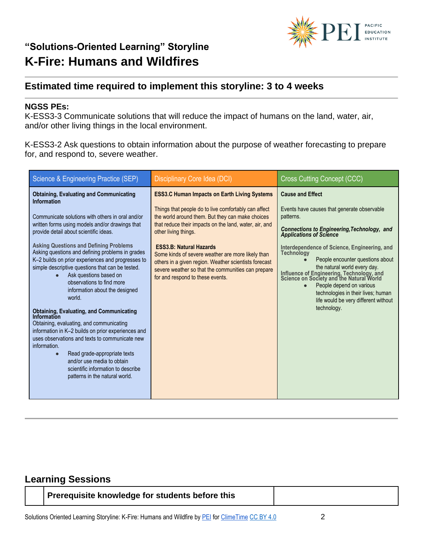

### **Estimated time required to implement this storyline: 3 to 4 weeks**

#### **NGSS PEs:**

K-ESS3-3 Communicate solutions that will reduce the impact of humans on the land, water, air, and/or other living things in the local environment.

K-ESS3-2 Ask questions to obtain information about the purpose of weather forecasting to prepare for, and respond to, severe weather.

| Science & Engineering Practice (SEP)                                                                                                                                                                                                                                                                                                                                                                                                                                                                                                                                                                                                                                                                                                                                                                                                                                                                               | Disciplinary Core Idea (DCI)                                                                                                                                                                                                                                                                                                                                                                                                                                                                | <b>Cross Cutting Concept (CCC)</b>                                                                                                                                                                                                                                                                                                                                                                                                                                                                                           |
|--------------------------------------------------------------------------------------------------------------------------------------------------------------------------------------------------------------------------------------------------------------------------------------------------------------------------------------------------------------------------------------------------------------------------------------------------------------------------------------------------------------------------------------------------------------------------------------------------------------------------------------------------------------------------------------------------------------------------------------------------------------------------------------------------------------------------------------------------------------------------------------------------------------------|---------------------------------------------------------------------------------------------------------------------------------------------------------------------------------------------------------------------------------------------------------------------------------------------------------------------------------------------------------------------------------------------------------------------------------------------------------------------------------------------|------------------------------------------------------------------------------------------------------------------------------------------------------------------------------------------------------------------------------------------------------------------------------------------------------------------------------------------------------------------------------------------------------------------------------------------------------------------------------------------------------------------------------|
| <b>Obtaining, Evaluating and Communicating</b><br><b>Information</b><br>Communicate solutions with others in oral and/or<br>written forms using models and/or drawings that<br>provide detail about scientific ideas.<br><b>Asking Questions and Defining Problems</b><br>Asking questions and defining problems in grades<br>K-2 builds on prior experiences and progresses to<br>simple descriptive questions that can be tested.<br>Ask questions based on<br>observations to find more<br>information about the designed<br>world.<br><b>Obtaining, Evaluating, and Communicating</b><br>Information<br>Obtaining, evaluating, and communicating<br>information in K-2 builds on prior experiences and<br>uses observations and texts to communicate new<br>information.<br>Read grade-appropriate texts<br>and/or use media to obtain<br>scientific information to describe<br>patterns in the natural world. | <b>ESS3.C Human Impacts on Earth Living Systems</b><br>Things that people do to live comfortably can affect<br>the world around them. But they can make choices<br>that reduce their impacts on the land, water, air, and<br>other living things.<br><b>ESS3.B: Natural Hazards</b><br>Some kinds of severe weather are more likely than<br>others in a given region. Weather scientists forecast<br>severe weather so that the communities can prepare<br>for and respond to these events. | <b>Cause and Effect</b><br>Events have causes that generate observable<br>patterns.<br><b>Connections to Engineering, Technology, and Applications of Science</b><br>Interdependence of Science, Engineering, and<br><b>Technology</b><br>People encounter questions about<br>the natural world every day.<br>Influence of Engineering, Technology, and<br>Science on Society and the Natural World<br>People depend on various<br>technologies in their lives; human<br>life would be very different without<br>technology. |

### **Learning Sessions**

| Prerequisite knowledge for students before this |
|-------------------------------------------------|
|-------------------------------------------------|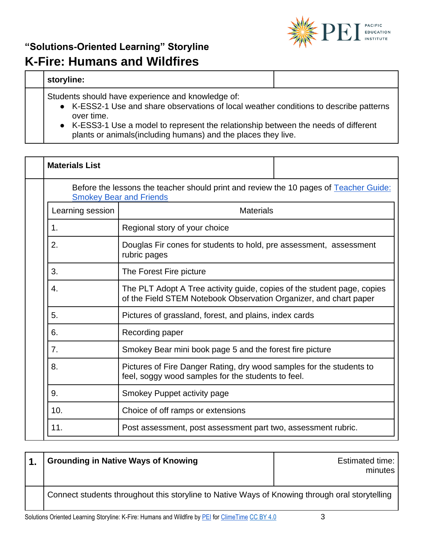

### **storyline:**

Students should have experience and knowledge of:

- K-ESS2-1 Use and share observations of local weather conditions to describe patterns over time.
- K-ESS3-1 Use a model to represent the relationship between the needs of different plants or animals(including humans) and the places they live.

| <b>Materials List</b> |                                                                                                                                              |  |
|-----------------------|----------------------------------------------------------------------------------------------------------------------------------------------|--|
|                       | Before the lessons the teacher should print and review the 10 pages of Teacher Guide:<br><b>Smokey Bear and Friends</b>                      |  |
| Learning session      | <b>Materials</b>                                                                                                                             |  |
| 1.                    | Regional story of your choice                                                                                                                |  |
| 2.                    | Douglas Fir cones for students to hold, pre assessment, assessment<br>rubric pages                                                           |  |
| 3.                    | The Forest Fire picture                                                                                                                      |  |
| 4.                    | The PLT Adopt A Tree activity guide, copies of the student page, copies<br>of the Field STEM Notebook Observation Organizer, and chart paper |  |
| 5.                    | Pictures of grassland, forest, and plains, index cards                                                                                       |  |
| 6.                    | Recording paper                                                                                                                              |  |
| 7.                    | Smokey Bear mini book page 5 and the forest fire picture                                                                                     |  |
| 8.                    | Pictures of Fire Danger Rating, dry wood samples for the students to<br>feel, soggy wood samples for the students to feel.                   |  |
| 9.                    | Smokey Puppet activity page                                                                                                                  |  |
| 10.                   | Choice of off ramps or extensions                                                                                                            |  |
| 11.                   | Post assessment, post assessment part two, assessment rubric.                                                                                |  |

| <b>Grounding in Native Ways of Knowing</b>                                                     | <b>Estimated time:</b><br>minutes |
|------------------------------------------------------------------------------------------------|-----------------------------------|
| Connect students throughout this storyline to Native Ways of Knowing through oral storytelling |                                   |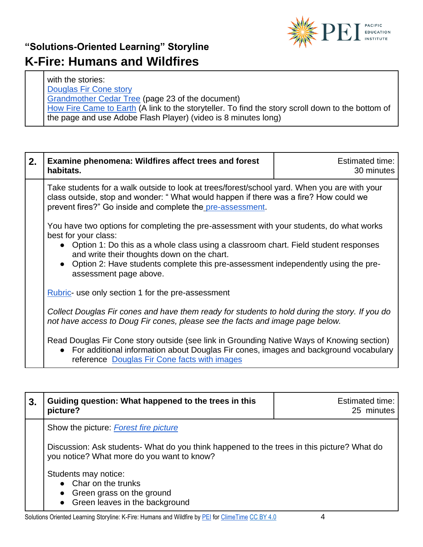

with the stories: [Douglas Fir Cone story](https://www.aaanativearts.com/legend-douglas-fir-pine-cone)  [Grandmother Cedar Tree](http://www.npaihb.org/download/authoring_project/weave-nw/Cedar-Box-Teaching-Toolkit.pdf) (page 23 of the document) [How Fire Came to Earth](https://www.wastatelaser.org/environmental-sustainability-enhanced-lessons/) (A link to the storyteller. To find the story scroll down to the bottom of the page and use Adobe Flash Player) (video is 8 minutes long)

| 2. | <b>Examine phenomena: Wildfires affect trees and forest</b><br>habitats.                                                                                                                                                                                                                                                                                                  | <b>Estimated time:</b><br>30 minutes |
|----|---------------------------------------------------------------------------------------------------------------------------------------------------------------------------------------------------------------------------------------------------------------------------------------------------------------------------------------------------------------------------|--------------------------------------|
|    | Take students for a walk outside to look at trees/forest/school yard. When you are with your<br>class outside, stop and wonder: "What would happen if there was a fire? How could we<br>prevent fires?" Go inside and complete the pre-assessment.                                                                                                                        |                                      |
|    | You have two options for completing the pre-assessment with your students, do what works<br>best for your class:<br>• Option 1: Do this as a whole class using a classroom chart. Field student responses<br>and write their thoughts down on the chart.<br>• Option 2: Have students complete this pre-assessment independently using the pre-<br>assessment page above. |                                      |
|    | <b>Rubric- use only section 1 for the pre-assessment</b>                                                                                                                                                                                                                                                                                                                  |                                      |
|    | Collect Douglas Fir cones and have them ready for students to hold during the story. If you do<br>not have access to Doug Fir cones, please see the facts and image page below.                                                                                                                                                                                           |                                      |
|    | Read Douglas Fir Cone story outside (see link in Grounding Native Ways of Knowing section)<br>For additional information about Douglas Fir cones, images and background vocabulary<br>$\bullet$<br>reference Douglas Fir Cone facts with images                                                                                                                           |                                      |

| 3. | Guiding question: What happened to the trees in this<br>picture?                                                                         | Estimated time:<br>25 minutes |
|----|------------------------------------------------------------------------------------------------------------------------------------------|-------------------------------|
|    | Show the picture: Forest fire picture                                                                                                    |                               |
|    | Discussion: Ask students- What do you think happened to the trees in this picture? What do<br>you notice? What more do you want to know? |                               |
|    | Students may notice:<br>• Char on the trunks<br>Green grass on the ground<br>$\bullet$<br>• Green leaves in the background               |                               |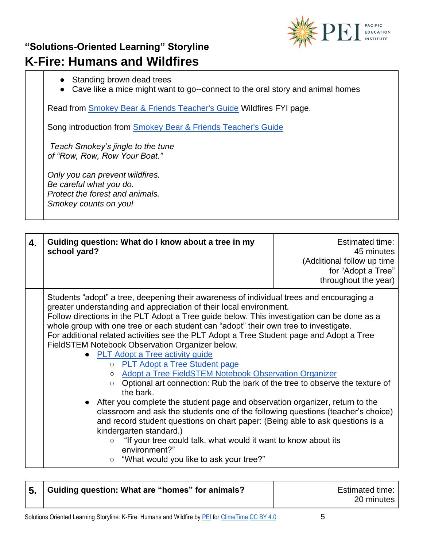

- Standing brown dead trees
- Cave like a mice might want to go--connect to the oral story and animal homes

Read from [Smokey Bear & Friends Teacher's Guide](https://pacificeductioninstitute.sharepoint.com/:b:/s/Program/EesC9AzIlXRCr5ePn0hDGi0BDv-9X1K3rSKEbDkJ0wWzPg?e=xBGKai) Wildfires FYI page.

Song introduction from [Smokey Bear & Friends Teacher's Guide](https://pacificeductioninstitute.sharepoint.com/:b:/s/Program/EesC9AzIlXRCr5ePn0hDGi0BDv-9X1K3rSKEbDkJ0wWzPg?e=xBGKai)

*Teach Smokey's jingle to the tune of "Row, Row, Row Your Boat."*

*Only you can prevent wildfires. Be careful what you do. Protect the forest and animals. Smokey counts on you!*

| 4. | Guiding question: What do I know about a tree in my<br>school yard?                                                                                                                                                                                                                                                                                                                                                                                                                                                                                                                                                                                                                                                                                                                                                                                                                                                                                                                                                                                                                                                                                                                                  | Estimated time:<br>45 minutes<br>(Additional follow up time<br>for "Adopt a Tree"<br>throughout the year) |
|----|------------------------------------------------------------------------------------------------------------------------------------------------------------------------------------------------------------------------------------------------------------------------------------------------------------------------------------------------------------------------------------------------------------------------------------------------------------------------------------------------------------------------------------------------------------------------------------------------------------------------------------------------------------------------------------------------------------------------------------------------------------------------------------------------------------------------------------------------------------------------------------------------------------------------------------------------------------------------------------------------------------------------------------------------------------------------------------------------------------------------------------------------------------------------------------------------------|-----------------------------------------------------------------------------------------------------------|
|    | Students "adopt" a tree, deepening their awareness of individual trees and encouraging a<br>greater understanding and appreciation of their local environment.<br>Follow directions in the PLT Adopt a Tree guide below. This investigation can be done as a<br>whole group with one tree or each student can "adopt" their own tree to investigate.<br>For additional related activities see the PLT Adopt a Tree Student page and Adopt a Tree<br>FieldSTEM Notebook Observation Organizer below.<br>• PLT Adopt a Tree activity guide<br>o PLT Adopt a Tree Student page<br><b>Adopt a Tree FieldSTEM Notebook Observation Organizer</b><br>$\circ$<br>Optional art connection: Rub the bark of the tree to observe the texture of<br>$\circ$<br>the bark.<br>• After you complete the student page and observation organizer, return to the<br>classroom and ask the students one of the following questions (teacher's choice)<br>and record student questions on chart paper: (Being able to ask questions is a<br>kindergarten standard.)<br>"If your tree could talk, what would it want to know about its<br>$\circ$<br>environment?"<br>"What would you like to ask your tree?"<br>$\circ$ |                                                                                                           |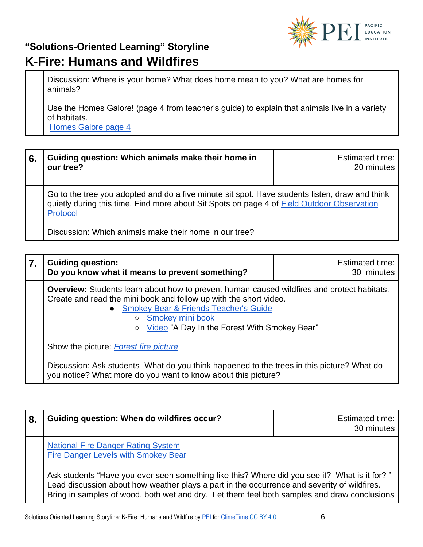

Discussion: Where is your home? What does home mean to you? What are homes for animals?

Use the Homes Galore! (page 4 from teacher's guide) to explain that animals live in a variety of habitats.

[Homes Galore page 4](https://pacificeductioninstitute.sharepoint.com/:b:/s/Program/EesC9AzIlXRCr5ePn0hDGi0BDv-9X1K3rSKEbDkJ0wWzPg?e=cvcwMB)

| 6. | Guiding question: Which animals make their home in<br>our tree?                                                                                                                                          | <b>Estimated time:</b><br>20 minutes |
|----|----------------------------------------------------------------------------------------------------------------------------------------------------------------------------------------------------------|--------------------------------------|
|    | Go to the tree you adopted and do a five minute sit spot. Have students listen, draw and think<br>quietly during this time. Find more about Sit Spots on page 4 of Field Outdoor Observation<br>Protocol |                                      |
|    | Discussion: Which animals make their home in our tree?                                                                                                                                                   |                                      |

| 7. | <b>Guiding question:</b><br>Do you know what it means to prevent something?                                                                                                                                                                                                                                                                                                                                                                                                                                         | Estimated time:<br>30 minutes |
|----|---------------------------------------------------------------------------------------------------------------------------------------------------------------------------------------------------------------------------------------------------------------------------------------------------------------------------------------------------------------------------------------------------------------------------------------------------------------------------------------------------------------------|-------------------------------|
|    | Overview: Students learn about how to prevent human-caused wildfires and protect habitats.<br>Create and read the mini book and follow up with the short video.<br>• Smokey Bear & Friends Teacher's Guide<br>Smokey mini book<br>$\circ$<br>Video "A Day In the Forest With Smokey Bear"<br>$\circ$<br>Show the picture: <b>Forest fire picture</b><br>Discussion: Ask students- What do you think happened to the trees in this picture? What do<br>you notice? What more do you want to know about this picture? |                               |
|    |                                                                                                                                                                                                                                                                                                                                                                                                                                                                                                                     |                               |
|    |                                                                                                                                                                                                                                                                                                                                                                                                                                                                                                                     |                               |

| 8. | Guiding question: When do wildfires occur?                                                                                                                                                                                                                                                  | <b>Estimated time:</b><br>30 minutes |
|----|---------------------------------------------------------------------------------------------------------------------------------------------------------------------------------------------------------------------------------------------------------------------------------------------|--------------------------------------|
|    | <b>National Fire Danger Rating System</b><br>Fire Danger Levels with Smokey Bear                                                                                                                                                                                                            |                                      |
|    | " Ask students "Have you ever seen something like this? Where did you see it? What is it for?<br>Lead discussion about how weather plays a part in the occurrence and severity of wildfires.<br>Bring in samples of wood, both wet and dry. Let them feel both samples and draw conclusions |                                      |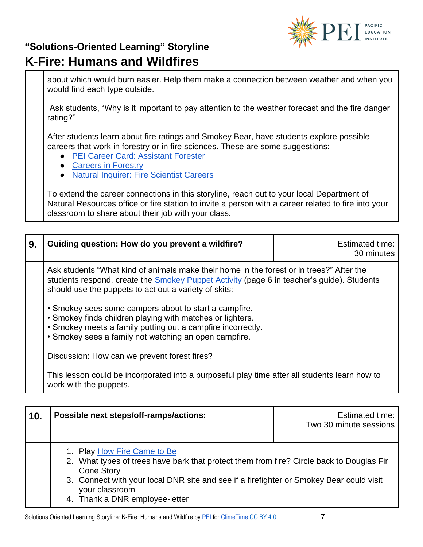

about which would burn easier. Help them make a connection between weather and when you would find each type outside.

Ask students, "Why is it important to pay attention to the weather forecast and the fire danger rating?"

After students learn about fire ratings and Smokey Bear, have students explore possible careers that work in forestry or in fire sciences. These are some suggestions:

- [PEI Career Card: Assistant Forester](https://1ekryb746l31vb9z22pz51o9-wpengine.netdna-ssl.com/wp-content/uploads/2020/04/Assistant-Forester-Ciara-Fenimore-Career-Profile.pdf)
- [Careers in Forestry](https://www.firescience.org/forestry-careers/)
- [Natural Inquirer: Fire Scientist Careers](http://www.naturalinquirer.org/Fire-Scientist-Cards-v-192.html)

To extend the career connections in this storyline, reach out to your local Department of Natural Resources office or fire station to invite a person with a career related to fire into your classroom to share about their job with your class.

| 9.  | Guiding question: How do you prevent a wildfire?                                                                                                                                                                                                      | Estimated time:<br>30 minutes                    |  |
|-----|-------------------------------------------------------------------------------------------------------------------------------------------------------------------------------------------------------------------------------------------------------|--------------------------------------------------|--|
|     | Ask students "What kind of animals make their home in the forest or in trees?" After the<br>students respond, create the <b>Smokey Puppet Activity</b> (page 6 in teacher's guide). Students<br>should use the puppets to act out a variety of skits: |                                                  |  |
|     | • Smokey sees some campers about to start a campfire.<br>• Smokey finds children playing with matches or lighters.<br>• Smokey meets a family putting out a campfire incorrectly.<br>• Smokey sees a family not watching an open campfire.            |                                                  |  |
|     | Discussion: How can we prevent forest fires?                                                                                                                                                                                                          |                                                  |  |
|     | This lesson could be incorporated into a purposeful play time after all students learn how to<br>work with the puppets.                                                                                                                               |                                                  |  |
|     |                                                                                                                                                                                                                                                       |                                                  |  |
| 10. | Possible next steps/off-ramps/actions:                                                                                                                                                                                                                | <b>Estimated time:</b><br>Two 30 minute sessions |  |

- 1. Play [How Fire Came to Be](https://www.wastatelaser.org/environmental-sustainability-enhanced-lessons/)
- 2. What types of trees have bark that protect them from fire? Circle back to Douglas Fir Cone Story
- 3. Connect with your local DNR site and see if a firefighter or Smokey Bear could visit your classroom
- 4. Thank a DNR employee-letter